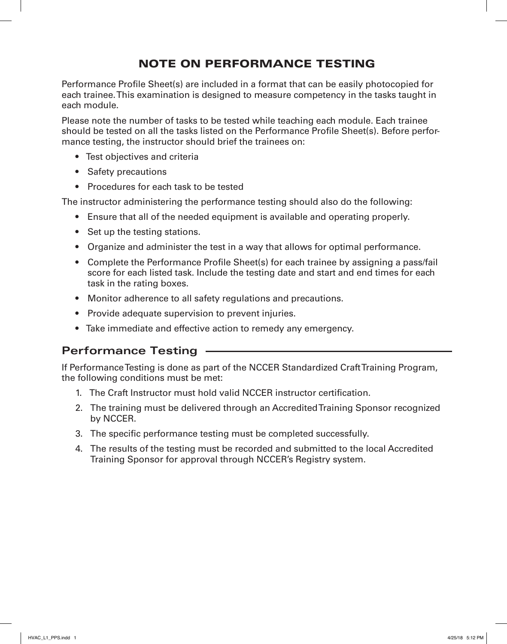## NOTE ON PERFORMANCE TESTING

Performance Profile Sheet(s) are included in a format that can be easily photocopied for each trainee. This examination is designed to measure competency in the tasks taught in each module.

Please note the number of tasks to be tested while teaching each module. Each trainee should be tested on all the tasks listed on the Performance Profile Sheet(s). Before performance testing, the instructor should brief the trainees on:

- Test objectives and criteria
- Safety precautions
- Procedures for each task to be tested

The instructor administering the performance testing should also do the following:

- Ensure that all of the needed equipment is available and operating properly.
- Set up the testing stations.
- Organize and administer the test in a way that allows for optimal performance.
- Complete the Performance Profile Sheet(s) for each trainee by assigning a pass/fail score for each listed task. Include the testing date and start and end times for each task in the rating boxes.
- Monitor adherence to all safety regulations and precautions.
- Provide adequate supervision to prevent injuries.
- Take immediate and effective action to remedy any emergency.

#### **Performance Testing**

If Performance Testing is done as part of the NCCER Standardized Craft Training Program, the following conditions must be met:

- 1. The Craft Instructor must hold valid NCCER instructor certification.
- 2. The training must be delivered through an Accredited Training Sponsor recognized by NCCER.
- 3. The specific performance testing must be completed successfully.
- 4. The results of the testing must be recorded and submitted to the local Accredited Training Sponsor for approval through NCCER's Registry system.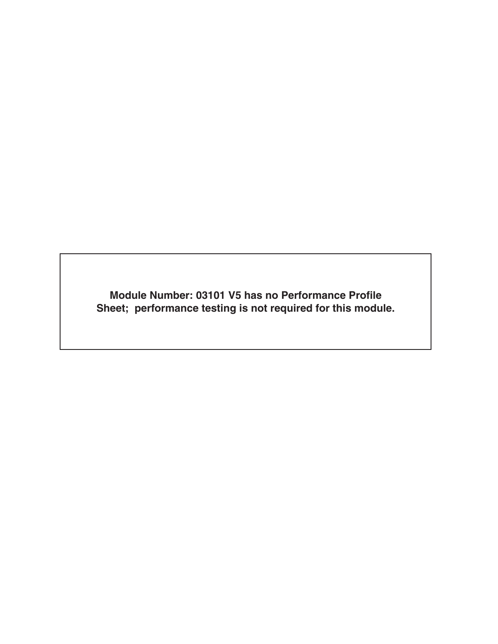**Module Number: 03101 V5 has no Performance Profile Sheet; performance testing is not required for this module.**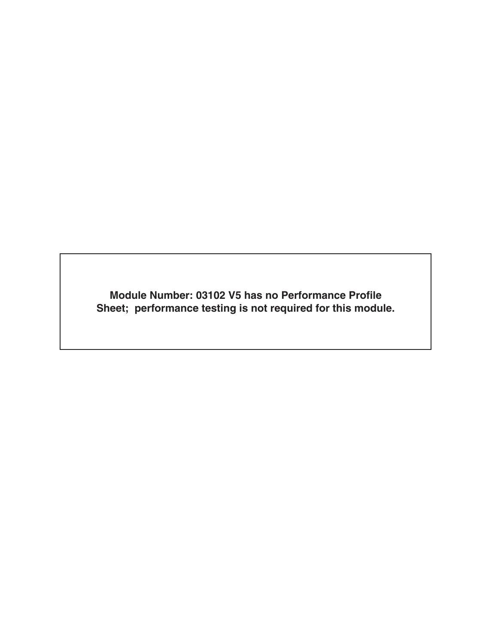**Module Number: 03102 V5 has no Performance Profile Sheet; performance testing is not required for this module.**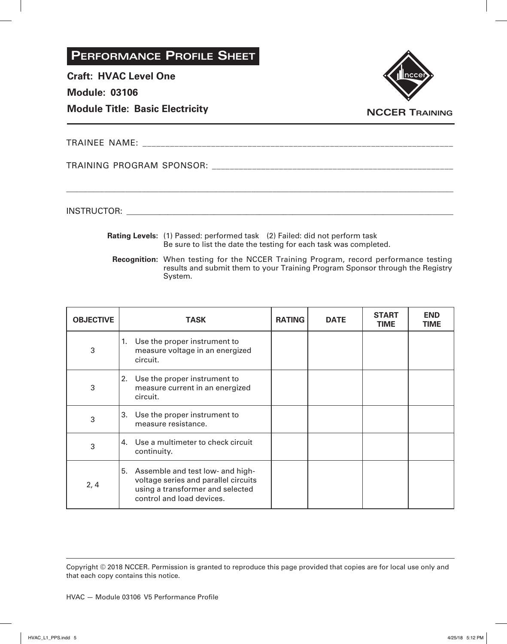**Craft: HVAC Level One**

**Module: 03106**

**Module Title: Basic Electricity**



TRAINEE NAME: **We have all that the set of the set of the set of the set of the set of the set of the set of the set of the set of the set of the set of the set of the set of the set of the set of the set of the set of the** 

TRAINING PROGRAM SPONSOR: \_\_\_\_\_\_\_\_\_\_\_\_\_\_\_\_\_\_\_\_\_\_\_\_\_\_\_\_\_\_\_\_\_\_\_\_\_\_\_\_\_\_\_\_\_\_\_\_\_\_\_\_\_\_

INSTRUCTOR: with a set of the set of the set of the set of the set of the set of the set of the set of the set of the set of the set of the set of the set of the set of the set of the set of the set of the set of the set o

**Rating Levels:** (1) Passed: performed task (2) Failed: did not perform task Be sure to list the date the testing for each task was completed.

\_\_\_\_\_\_\_\_\_\_\_\_\_\_\_\_\_\_\_\_\_\_\_\_\_\_\_\_\_\_\_\_\_\_\_\_\_\_\_\_\_\_\_\_\_\_\_\_\_\_\_\_\_\_\_\_\_\_\_\_\_\_\_\_\_\_\_\_\_\_\_\_\_\_\_\_\_\_\_\_\_\_\_\_\_\_\_\_\_\_\_\_

**Recognition:** When testing for the NCCER Training Program, record performance testing results and submit them to your Training Program Sponsor through the Registry System.

| <b>OBJECTIVE</b> | <b>TASK</b>                                                                                                                                     | <b>RATING</b> | <b>DATE</b> | <b>START</b><br><b>TIME</b> | <b>END</b><br>TIME |
|------------------|-------------------------------------------------------------------------------------------------------------------------------------------------|---------------|-------------|-----------------------------|--------------------|
| 3                | 1. Use the proper instrument to<br>measure voltage in an energized<br>circuit.                                                                  |               |             |                             |                    |
| 3                | Use the proper instrument to<br>2.<br>measure current in an energized<br>circuit.                                                               |               |             |                             |                    |
| 3                | Use the proper instrument to<br>3.<br>measure resistance.                                                                                       |               |             |                             |                    |
| 3                | 4. Use a multimeter to check circuit<br>continuity.                                                                                             |               |             |                             |                    |
| 2, 4             | Assemble and test low- and high-<br>5.<br>voltage series and parallel circuits<br>using a transformer and selected<br>control and load devices. |               |             |                             |                    |

Copyright © 2018 NCCER. Permission is granted to reproduce this page provided that copies are for local use only and that each copy contains this notice.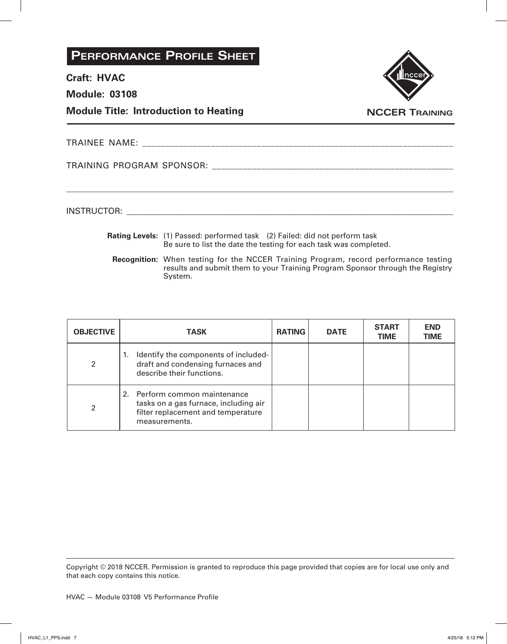**Craft: HVAC**

**Module: 03108**

**Module Title: Introduction to Heating**



**NCCER Training**

TRAINEE NAME: \_\_\_\_\_\_\_\_\_\_\_\_\_\_\_\_\_\_\_\_\_\_\_\_\_\_\_\_\_\_\_\_\_\_\_\_\_\_\_\_\_\_\_\_\_\_\_\_\_\_\_\_\_\_\_\_\_\_\_\_\_\_\_\_\_\_\_\_

TRAINING PROGRAM SPONSOR: \_\_\_\_\_\_\_\_\_\_\_\_\_\_\_\_\_\_\_\_\_\_\_\_\_\_\_\_\_\_\_\_\_\_\_\_\_\_\_\_\_\_\_\_\_\_\_\_\_\_\_\_\_\_

INSTRUCTOR: with a set of the set of the set of the set of the set of the set of the set of the set of the set of the set of the set of the set of the set of the set of the set of the set of the set of the set of the set o

**Rating Levels:** (1) Passed: performed task (2) Failed: did not perform task Be sure to list the date the testing for each task was completed.

\_\_\_\_\_\_\_\_\_\_\_\_\_\_\_\_\_\_\_\_\_\_\_\_\_\_\_\_\_\_\_\_\_\_\_\_\_\_\_\_\_\_\_\_\_\_\_\_\_\_\_\_\_\_\_\_\_\_\_\_\_\_\_\_\_\_\_\_\_\_\_\_\_\_\_\_\_\_\_\_\_\_\_\_\_\_\_\_\_\_\_\_

**Recognition:** When testing for the NCCER Training Program, record performance testing results and submit them to your Training Program Sponsor through the Registry System.

| <b>OBJECTIVE</b> | TASK                                                                                                                          | <b>RATING</b> | <b>DATE</b> | <b>START</b><br><b>TIME</b> | <b>END</b><br><b>TIME</b> |
|------------------|-------------------------------------------------------------------------------------------------------------------------------|---------------|-------------|-----------------------------|---------------------------|
| 2                | Identify the components of included-<br>1.<br>draft and condensing furnaces and<br>describe their functions.                  |               |             |                             |                           |
| 2                | 2. Perform common maintenance<br>tasks on a gas furnace, including air<br>filter replacement and temperature<br>measurements. |               |             |                             |                           |

Copyright © 2018 NCCER. Permission is granted to reproduce this page provided that copies are for local use only and that each copy contains this notice.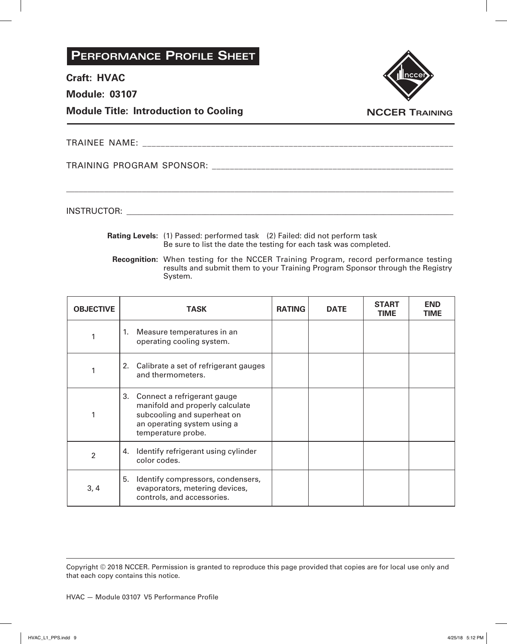**Craft: HVAC**

**Module: 03107**

**Module Title: Introduction to Cooling**



**NCCER Training**

TRAINEE NAME: \_\_\_\_\_\_\_\_\_\_\_\_\_\_\_\_\_\_\_\_\_\_\_\_\_\_\_\_\_\_\_\_\_\_\_\_\_\_\_\_\_\_\_\_\_\_\_\_\_\_\_\_\_\_\_\_\_\_\_\_\_\_\_\_\_\_\_\_

TRAINING PROGRAM SPONSOR: \_\_\_\_\_\_\_\_\_\_\_\_\_\_\_\_\_\_\_\_\_\_\_\_\_\_\_\_\_\_\_\_\_\_\_\_\_\_\_\_\_\_\_\_\_\_\_\_\_\_\_\_\_\_

INSTRUCTOR: with a set of the set of the set of the set of the set of the set of the set of the set of the set of the set of the set of the set of the set of the set of the set of the set of the set of the set of the set o

**Rating Levels:** (1) Passed: performed task (2) Failed: did not perform task Be sure to list the date the testing for each task was completed.

\_\_\_\_\_\_\_\_\_\_\_\_\_\_\_\_\_\_\_\_\_\_\_\_\_\_\_\_\_\_\_\_\_\_\_\_\_\_\_\_\_\_\_\_\_\_\_\_\_\_\_\_\_\_\_\_\_\_\_\_\_\_\_\_\_\_\_\_\_\_\_\_\_\_\_\_\_\_\_\_\_\_\_\_\_\_\_\_\_\_\_\_

**Recognition:** When testing for the NCCER Training Program, record performance testing results and submit them to your Training Program Sponsor through the Registry System.

| <b>OBJECTIVE</b> | <b>TASK</b>                                                                                                                                           | <b>RATING</b> | <b>DATE</b> | <b>START</b><br><b>TIME</b> | <b>END</b><br><b>TIME</b> |
|------------------|-------------------------------------------------------------------------------------------------------------------------------------------------------|---------------|-------------|-----------------------------|---------------------------|
|                  | Measure temperatures in an<br>1.<br>operating cooling system.                                                                                         |               |             |                             |                           |
|                  | 2. Calibrate a set of refrigerant gauges<br>and thermometers.                                                                                         |               |             |                             |                           |
|                  | 3. Connect a refrigerant gauge<br>manifold and properly calculate<br>subcooling and superheat on<br>an operating system using a<br>temperature probe. |               |             |                             |                           |
| $\overline{2}$   | Identify refrigerant using cylinder<br>4.<br>color codes.                                                                                             |               |             |                             |                           |
| 3, 4             | Identify compressors, condensers,<br>5.<br>evaporators, metering devices,<br>controls, and accessories.                                               |               |             |                             |                           |

Copyright © 2018 NCCER. Permission is granted to reproduce this page provided that copies are for local use only and that each copy contains this notice.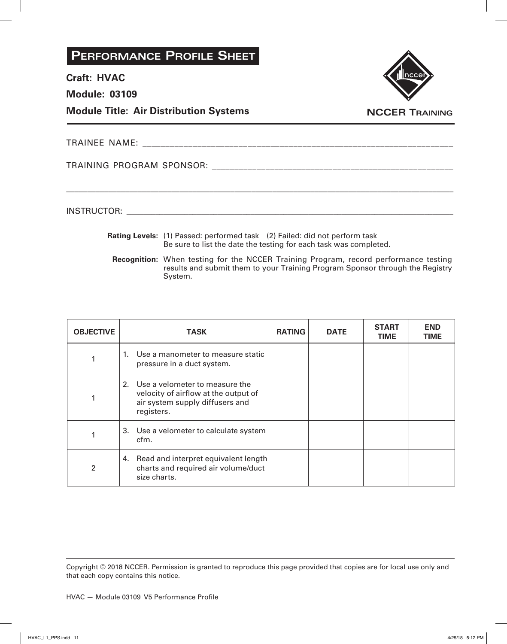**Craft: HVAC**

**Module: 03109**

**Module Title: Air Distribution Systems**



**NCCER Training**

TRAINEE NAME: \_\_\_\_\_\_\_\_\_\_\_\_\_\_\_\_\_\_\_\_\_\_\_\_\_\_\_\_\_\_\_\_\_\_\_\_\_\_\_\_\_\_\_\_\_\_\_\_\_\_\_\_\_\_\_\_\_\_\_\_\_\_\_\_\_\_\_\_

TRAINING PROGRAM SPONSOR: \_\_\_\_\_\_\_\_\_\_\_\_\_\_\_\_\_\_\_\_\_\_\_\_\_\_\_\_\_\_\_\_\_\_\_\_\_\_\_\_\_\_\_\_\_\_\_\_\_\_\_\_\_\_

INSTRUCTOR: with a set of the set of the set of the set of the set of the set of the set of the set of the set of the set of the set of the set of the set of the set of the set of the set of the set of the set of the set o

**Rating Levels:** (1) Passed: performed task (2) Failed: did not perform task Be sure to list the date the testing for each task was completed.

\_\_\_\_\_\_\_\_\_\_\_\_\_\_\_\_\_\_\_\_\_\_\_\_\_\_\_\_\_\_\_\_\_\_\_\_\_\_\_\_\_\_\_\_\_\_\_\_\_\_\_\_\_\_\_\_\_\_\_\_\_\_\_\_\_\_\_\_\_\_\_\_\_\_\_\_\_\_\_\_\_\_\_\_\_\_\_\_\_\_\_\_

**Recognition:** When testing for the NCCER Training Program, record performance testing results and submit them to your Training Program Sponsor through the Registry System.

| <b>OBJECTIVE</b> | <b>TASK</b>                                                                                                                | <b>RATING</b> | <b>DATE</b> | <b>START</b><br><b>TIME</b> | <b>END</b><br><b>TIME</b> |
|------------------|----------------------------------------------------------------------------------------------------------------------------|---------------|-------------|-----------------------------|---------------------------|
|                  | 1. Use a manometer to measure static<br>pressure in a duct system.                                                         |               |             |                             |                           |
|                  | 2. Use a velometer to measure the<br>velocity of airflow at the output of<br>air system supply diffusers and<br>registers. |               |             |                             |                           |
|                  | 3. Use a velometer to calculate system<br>cfm.                                                                             |               |             |                             |                           |
| $\mathfrak{p}$   | Read and interpret equivalent length<br>4.<br>charts and required air volume/duct<br>size charts.                          |               |             |                             |                           |

Copyright © 2018 NCCER. Permission is granted to reproduce this page provided that copies are for local use only and that each copy contains this notice.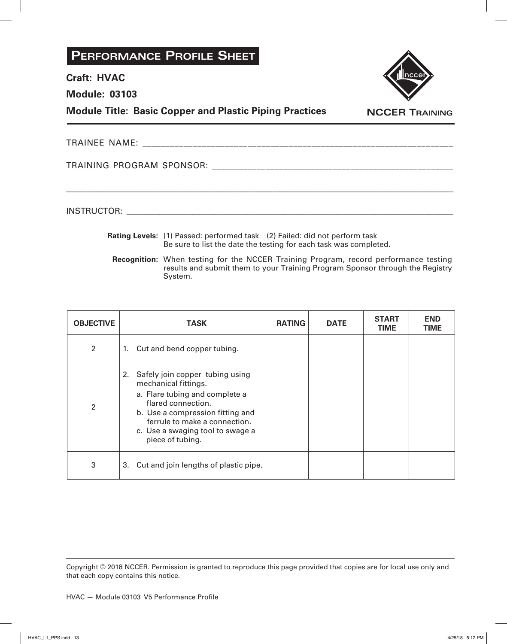#### **Craft: HVAC**

**Module: 03103**

**Module Title: Basic Copper and Plastic Piping Practices**



**NCCER Training**

| TD AINIEE<br>`N⊾<br>. M F<br>$\Gamma$ $\Gamma$ $\Gamma$ $\Gamma$ $\Gamma$ $\Gamma$ $\Gamma$ $\Gamma$ |  |
|------------------------------------------------------------------------------------------------------|--|
|------------------------------------------------------------------------------------------------------|--|

\_\_\_\_\_\_\_\_\_\_\_\_\_\_\_\_\_\_\_\_\_\_\_\_\_\_\_\_\_\_\_\_\_\_\_\_\_\_\_\_\_\_\_\_\_\_\_\_\_\_\_\_\_\_\_\_\_\_\_\_\_\_\_\_\_\_\_\_\_\_\_\_\_\_\_\_\_\_\_\_\_\_\_\_\_\_\_\_\_\_\_\_

TRAINING PROGRAM SPONSOR: \_\_\_\_\_\_\_\_\_\_\_\_\_\_\_\_\_\_\_\_\_\_\_\_\_\_\_\_\_\_\_\_\_\_\_\_\_\_\_\_\_\_\_\_\_\_\_\_\_\_\_\_\_\_

INSTRUCTOR: with a set of the set of the set of the set of the set of the set of the set of the set of the set of the set of the set of the set of the set of the set of the set of the set of the set of the set of the set o

- **Rating Levels:** (1) Passed: performed task (2) Failed: did not perform task Be sure to list the date the testing for each task was completed.
	- **Recognition:** When testing for the NCCER Training Program, record performance testing results and submit them to your Training Program Sponsor through the Registry System.

| <b>OBJECTIVE</b> | <b>TASK</b>                                                                                                                                                                                                                                        | <b>RATING</b> | <b>DATE</b> | <b>START</b><br><b>TIME</b> | END<br>TIME |
|------------------|----------------------------------------------------------------------------------------------------------------------------------------------------------------------------------------------------------------------------------------------------|---------------|-------------|-----------------------------|-------------|
| $\overline{2}$   | 1. Cut and bend copper tubing.                                                                                                                                                                                                                     |               |             |                             |             |
| $\mathfrak{p}$   | Safely join copper tubing using<br>2.<br>mechanical fittings.<br>a. Flare tubing and complete a<br>flared connection.<br>b. Use a compression fitting and<br>ferrule to make a connection.<br>c. Use a swaging tool to swage a<br>piece of tubing. |               |             |                             |             |
| 3                | Cut and join lengths of plastic pipe.<br>3.                                                                                                                                                                                                        |               |             |                             |             |

Copyright © 2018 NCCER. Permission is granted to reproduce this page provided that copies are for local use only and that each copy contains this notice.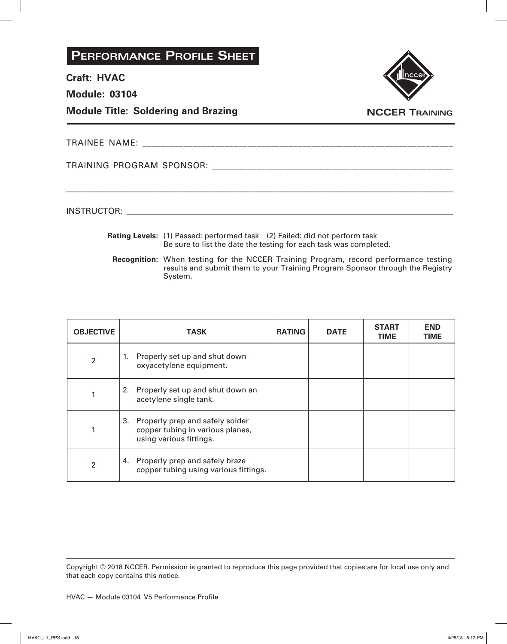**Craft: HVAC**

**Module: 03104**

**Module Title: Soldering and Brazing**



**NCCER Training**

TRAINEE NAME: \_\_\_\_\_\_\_\_\_\_\_\_\_\_\_\_\_\_\_\_\_\_\_\_\_\_\_\_\_\_\_\_\_\_\_\_\_\_\_\_\_\_\_\_\_\_\_\_\_\_\_\_\_\_\_\_\_\_\_\_\_\_\_\_\_\_\_\_

TRAINING PROGRAM SPONSOR: \_\_\_\_\_\_\_\_\_\_\_\_\_\_\_\_\_\_\_\_\_\_\_\_\_\_\_\_\_\_\_\_\_\_\_\_\_\_\_\_\_\_\_\_\_\_\_\_\_\_\_\_\_\_

INSTRUCTOR: with a set of the set of the set of the set of the set of the set of the set of the set of the set of the set of the set of the set of the set of the set of the set of the set of the set of the set of the set o

**Rating Levels:** (1) Passed: performed task (2) Failed: did not perform task Be sure to list the date the testing for each task was completed.

\_\_\_\_\_\_\_\_\_\_\_\_\_\_\_\_\_\_\_\_\_\_\_\_\_\_\_\_\_\_\_\_\_\_\_\_\_\_\_\_\_\_\_\_\_\_\_\_\_\_\_\_\_\_\_\_\_\_\_\_\_\_\_\_\_\_\_\_\_\_\_\_\_\_\_\_\_\_\_\_\_\_\_\_\_\_\_\_\_\_\_\_

**Recognition:** When testing for the NCCER Training Program, record performance testing results and submit them to your Training Program Sponsor through the Registry System.

| <b>OBJECTIVE</b> | <b>TASK</b>                                                                                          | <b>RATING</b> | <b>DATE</b> | <b>START</b><br><b>TIME</b> | <b>END</b><br><b>TIME</b> |
|------------------|------------------------------------------------------------------------------------------------------|---------------|-------------|-----------------------------|---------------------------|
| $\overline{2}$   | Properly set up and shut down<br>1.<br>oxyacetylene equipment.                                       |               |             |                             |                           |
|                  | 2. Properly set up and shut down an<br>acetylene single tank.                                        |               |             |                             |                           |
|                  | Properly prep and safely solder<br>3.<br>copper tubing in various planes,<br>using various fittings. |               |             |                             |                           |
| $\mathfrak{p}$   | Properly prep and safely braze<br>4.<br>copper tubing using various fittings.                        |               |             |                             |                           |

Copyright © 2018 NCCER. Permission is granted to reproduce this page provided that copies are for local use only and that each copy contains this notice.